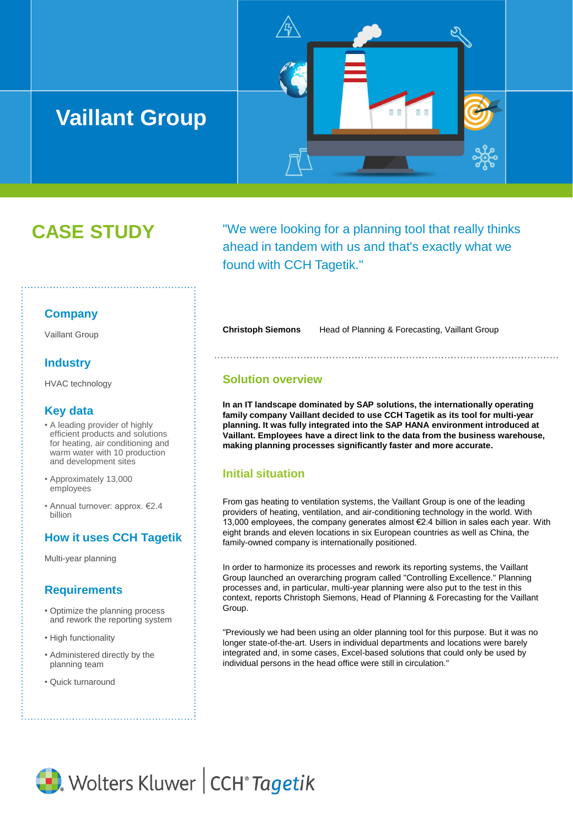# **Vaillant Group**



"We were looking for a planning tool that really thinks ahead in tandem with us and that's exactly what we found with CCH Tagetik."

## **Company**

Vaillant Group

## **Industry**

HVAC technology

### **Key data**

- A leading provider of highly efficient products and solutions for heating, air conditioning and warm water with 10 production and development sites
- Approximately 13,000 employees
- Annual turnover: approx. €2.4 billion

# **How it uses CCH Tagetik**

Multi-year planning

## **Requirements**

- Optimize the planning process and rework the reporting system
- High functionality
- Administered directly by the planning team
- Quick turnaround

**Christoph Siemons** Head of Planning & Forecasting, Vaillant Group

ПT

#### **Solution overview**

**In an IT landscape dominated by SAP solutions, the internationally operating family company Vaillant decided to use CCH Tagetik as its tool for multi-year planning. It was fully integrated into the SAP HANA environment introduced at Vaillant. Employees have a direct link to the data from the business warehouse, making planning processes significantly faster and more accurate.**

# **Initial situation**

From gas heating to ventilation systems, the Vaillant Group is one of the leading providers of heating, ventilation, and air-conditioning technology in the world. With 13,000 employees, the company generates almost €2.4 billion in sales each year. With eight brands and eleven locations in six European countries as well as China, the family-owned company is internationally positioned.

In order to harmonize its processes and rework its reporting systems, the Vaillant Group launched an overarching program called "Controlling Excellence." Planning processes and, in particular, multi-year planning were also put to the test in this context, reports Christoph Siemons, Head of Planning & Forecasting for the Vaillant Group.

"Previously we had been using an older planning tool for this purpose. But it was no longer state-of-the-art. Users in individual departments and locations were barely integrated and, in some cases, Excel-based solutions that could only be used by individual persons in the head office were still in circulation."

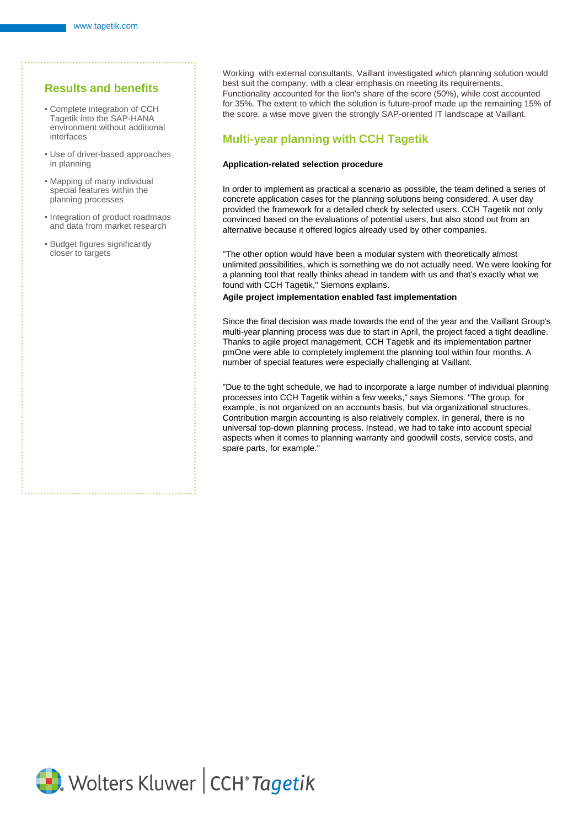## **Results and benefits**

- Complete integration of CCH Tagetik into the SAP-HANA environment without additional interfaces
- Use of driver-based approaches in planning
- Mapping of many individual special features within the planning processes
- Integration of product roadmaps and data from market research
- Budget figures significantly closer to targets

Working with external consultants, Vaillant investigated which planning solution would best suit the company, with a clear emphasis on meeting its requirements. Functionality accounted for the lion's share of the score (50%), while cost accounted for 35%. The extent to which the solution is future-proof made up the remaining 15% of the score, a wise move given the strongly SAP-oriented IT landscape at Vaillant.

## **Multi-year planning with CCH Tagetik**

#### **Application-related selection procedure**

In order to implement as practical a scenario as possible, the team defined a series of concrete application cases for the planning solutions being considered. A user day provided the framework for a detailed check by selected users. CCH Tagetik not only convinced based on the evaluations of potential users, but also stood out from an alternative because it offered logics already used by other companies.

"The other option would have been a modular system with theoretically almost unlimited possibilities, which is something we do not actually need. We were looking for a planning tool that really thinks ahead in tandem with us and that's exactly what we found with CCH Tagetik," Siemons explains.

#### **Agile project implementation enabled fast implementation**

Since the final decision was made towards the end of the year and the Vaillant Group's multi-year planning process was due to start in April, the project faced a tight deadline. Thanks to agile project management, CCH Tagetik and its implementation partner pmOne were able to completely implement the planning tool within four months. A number of special features were especially challenging at Vaillant.

"Due to the tight schedule, we had to incorporate a large number of individual planning processes into CCH Tagetik within a few weeks," says Siemons. "The group, for example, is not organized on an accounts basis, but via organizational structures. Contribution margin accounting is also relatively complex. In general, there is no universal top-down planning process. Instead, we had to take into account special aspects when it comes to planning warranty and goodwill costs, service costs, and spare parts, for example."